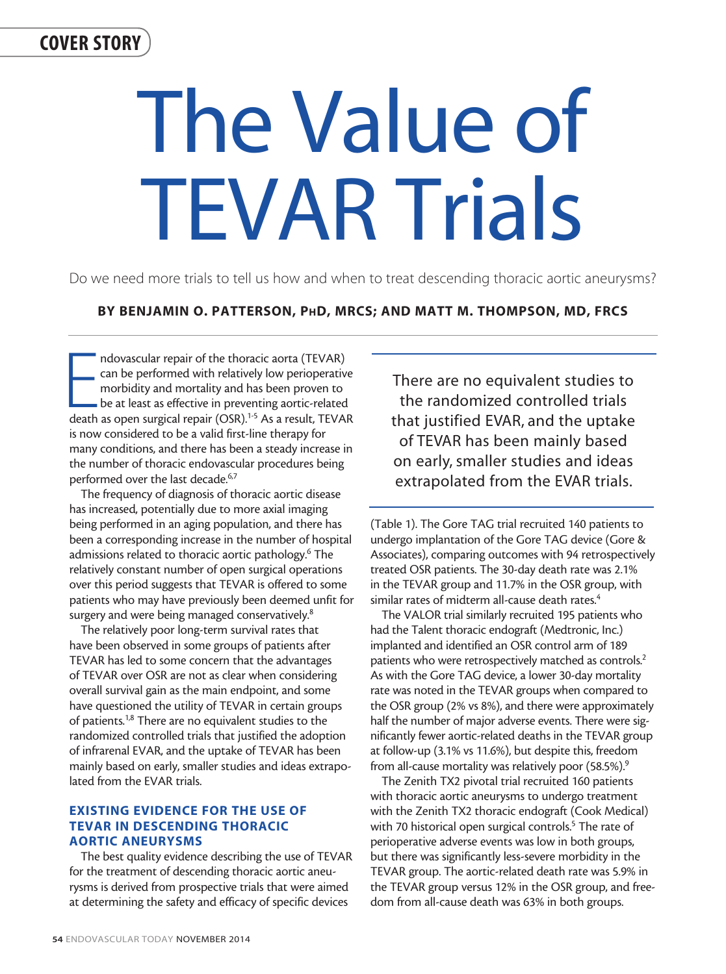# The Value of TEVAR Trials

Do we need more trials to tell us how and when to treat descending thoracic aortic aneurysms?

BY BENJAMIN O. PATTERSON, PhD, MRCS; AND MATT M. THOMPSON, MD, FRCS

ndovascular repair of the thoracic aorta (TEVAR)<br>can be performed with relatively low perioperative<br>morbidity and mortality and has been proven to<br>be at least as effective in preventing aortic-related<br>death as open surgica ndovascular repair of the thoracic aorta (TEVAR) can be performed with relatively low perioperative morbidity and mortality and has been proven to be at least as effective in preventing aortic-related is now considered to be a valid first-line therapy for many conditions, and there has been a steady increase in the number of thoracic endovascular procedures being performed over the last decade.<sup>6,7</sup>

The frequency of diagnosis of thoracic aortic disease has increased, potentially due to more axial imaging being performed in an aging population, and there has been a corresponding increase in the number of hospital admissions related to thoracic aortic pathology.<sup>6</sup> The relatively constant number of open surgical operations over this period suggests that TEVAR is offered to some patients who may have previously been deemed unfit for surgery and were being managed conservatively.<sup>8</sup>

The relatively poor long-term survival rates that have been observed in some groups of patients after TEVAR has led to some concern that the advantages of TEVAR over OSR are not as clear when considering overall survival gain as the main endpoint, and some have questioned the utility of TEVAR in certain groups of patients.1,8 There are no equivalent studies to the randomized controlled trials that justified the adoption of infrarenal EVAR, and the uptake of TEVAR has been mainly based on early, smaller studies and ideas extrapolated from the EVAR trials.

## EXISTING EVIDENCE FOR THE USE OF TEVAR IN DESCENDING THORACIC AORTIC ANEURYSMS

The best quality evidence describing the use of TEVAR for the treatment of descending thoracic aortic aneurysms is derived from prospective trials that were aimed at determining the safety and efficacy of specific devices

There are no equivalent studies to the randomized controlled trials that justified EVAR, and the uptake of TEVAR has been mainly based on early, smaller studies and ideas extrapolated from the EVAR trials.

(Table 1). The Gore TAG trial recruited 140 patients to undergo implantation of the Gore TAG device (Gore & Associates), comparing outcomes with 94 retrospectively treated OSR patients. The 30-day death rate was 2.1% in the TEVAR group and 11.7% in the OSR group, with similar rates of midterm all-cause death rates.<sup>4</sup>

The VALOR trial similarly recruited 195 patients who had the Talent thoracic endograft (Medtronic, Inc.) implanted and identified an OSR control arm of 189 patients who were retrospectively matched as controls.<sup>2</sup> As with the Gore TAG device, a lower 30-day mortality rate was noted in the TEVAR groups when compared to the OSR group (2% vs 8%), and there were approximately half the number of major adverse events. There were significantly fewer aortic-related deaths in the TEVAR group at follow-up (3.1% vs 11.6%), but despite this, freedom from all-cause mortality was relatively poor (58.5%).9

The Zenith TX2 pivotal trial recruited 160 patients with thoracic aortic aneurysms to undergo treatment with the Zenith TX2 thoracic endograft (Cook Medical) with 70 historical open surgical controls.<sup>5</sup> The rate of perioperative adverse events was low in both groups, but there was significantly less-severe morbidity in the TEVAR group. The aortic-related death rate was 5.9% in the TEVAR group versus 12% in the OSR group, and freedom from all-cause death was 63% in both groups.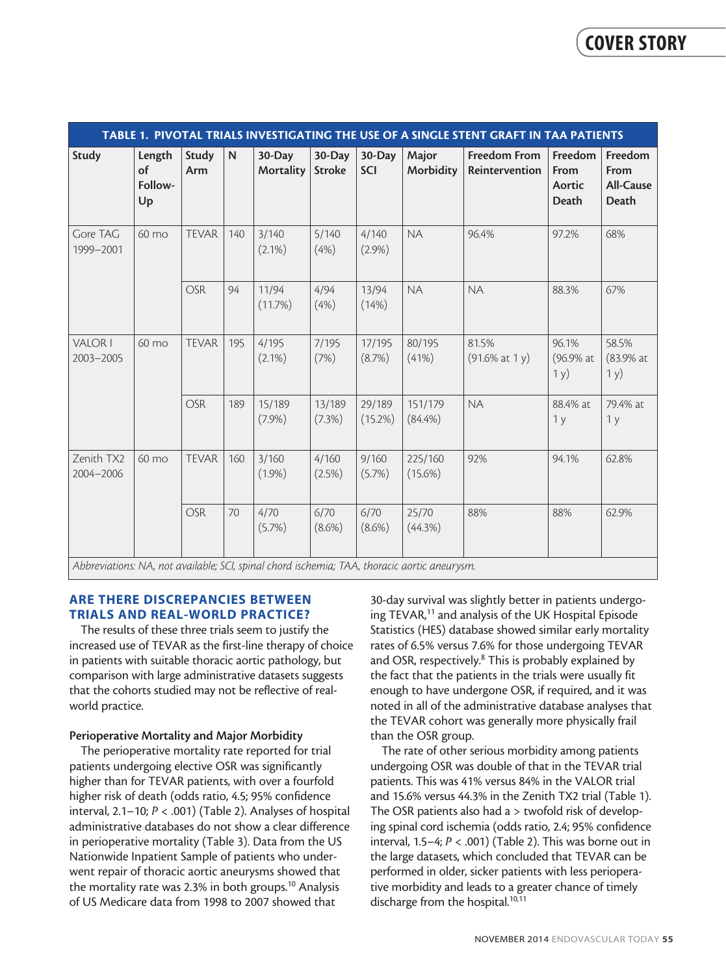| TABLE 1. PIVOTAL TRIALS INVESTIGATING THE USE OF A SINGLE STENT GRAFT IN TAA PATIENTS  |                               |              |           |                     |                         |                      |                       |                                             |                                           |                                       |
|----------------------------------------------------------------------------------------|-------------------------------|--------------|-----------|---------------------|-------------------------|----------------------|-----------------------|---------------------------------------------|-------------------------------------------|---------------------------------------|
| <b>Study</b>                                                                           | Length<br>of<br>Follow-<br>Up | Study<br>Arm | ${\sf N}$ | 30-Day<br>Mortality | 30-Day<br><b>Stroke</b> | 30-Day<br>SCI        | Major<br>Morbidity    | <b>Freedom From</b><br>Reintervention       | Freedom<br>From<br><b>Aortic</b><br>Death | Freedom<br>From<br>All-Cause<br>Death |
| Gore TAG<br>1999-2001                                                                  | 60 mo                         | <b>TEVAR</b> | 140       | 3/140<br>(2.1%)     | 5/140<br>(4% )          | 4/140<br>(2.9%)      | <b>NA</b>             | 96.4%                                       | 97.2%                                     | 68%                                   |
|                                                                                        |                               | <b>OSR</b>   | 94        | 11/94<br>(11.7%)    | 4/94<br>(4% )           | 13/94<br>(14%)       | <b>NA</b>             | <b>NA</b>                                   | 88.3%                                     | 67%                                   |
| <b>VALOR I</b><br>2003-2005                                                            | 60 mo                         | <b>TEVAR</b> | 195       | 4/195<br>$(2.1\%)$  | 7/195<br>(7%)           | 17/195<br>(8.7%)     | 80/195<br>(41%)       | 81.5%<br>$(91.6\% \text{ at } 1 \text{ y})$ | 96.1%<br>(96.9% at<br>1 y)                | 58.5%<br>(83.9% at<br>1 y)            |
|                                                                                        |                               | <b>OSR</b>   | 189       | 15/189<br>$(7.9\%)$ | 13/189<br>$(7.3\%)$     | 29/189<br>$(15.2\%)$ | 151/179<br>$(84.4\%)$ | <b>NA</b>                                   | 88.4% at<br>1 <sub>y</sub>                | 79.4% at<br>1 <sub>y</sub>            |
| Zenith TX2<br>2004-2006                                                                | 60 mo                         | <b>TEVAR</b> | 160       | 3/160<br>(1.9%)     | 4/160<br>(2.5%)         | 9/160<br>(5.7%)      | 225/160<br>$(15.6\%)$ | 92%                                         | 94.1%                                     | 62.8%                                 |
| Approviations NA not quailable SCL spinal chard ischemia: TAA thoracic gostic queurysm |                               | <b>OSR</b>   | 70        | 4/70<br>(5.7%)      | 6/70<br>$(8.6\%)$       | 6/70<br>$(8.6\%)$    | 25/70<br>(44.3%)      | 88%                                         | 88%                                       | 62.9%                                 |

*Abbreviations: NA, not available; SCI, spinal chord ischemia; TAA, thoracic aortic aneurysm.*

# ARE THERE DISCREPANCIES BETWEEN TRIALS AND REAL-WORLD PRACTICE?

The results of these three trials seem to justify the increased use of TEVAR as the first-line therapy of choice in patients with suitable thoracic aortic pathology, but comparison with large administrative datasets suggests that the cohorts studied may not be reflective of realworld practice.

## Perioperative Mortality and Major Morbidity

The perioperative mortality rate reported for trial patients undergoing elective OSR was significantly higher than for TEVAR patients, with over a fourfold higher risk of death (odds ratio, 4.5; 95% confidence interval, 2.1–10; *P* < .001) (Table 2). Analyses of hospital administrative databases do not show a clear difference in perioperative mortality (Table 3). Data from the US Nationwide Inpatient Sample of patients who underwent repair of thoracic aortic aneurysms showed that the mortality rate was 2.3% in both groups.<sup>10</sup> Analysis of US Medicare data from 1998 to 2007 showed that

30-day survival was slightly better in patients undergoing TEVAR,<sup>11</sup> and analysis of the UK Hospital Episode Statistics (HES) database showed similar early mortality rates of 6.5% versus 7.6% for those undergoing TEVAR and OSR, respectively.<sup>8</sup> This is probably explained by the fact that the patients in the trials were usually fit enough to have undergone OSR, if required, and it was noted in all of the administrative database analyses that the TEVAR cohort was generally more physically frail than the OSR group.

The rate of other serious morbidity among patients undergoing OSR was double of that in the TEVAR trial patients. This was 41% versus 84% in the VALOR trial and 15.6% versus 44.3% in the Zenith TX2 trial (Table 1). The OSR patients also had a > twofold risk of developing spinal cord ischemia (odds ratio, 2.4; 95% confidence interval, 1.5–4; *P* < .001) (Table 2). This was borne out in the large datasets, which concluded that TEVAR can be performed in older, sicker patients with less perioperative morbidity and leads to a greater chance of timely discharge from the hospital.<sup>10,11</sup>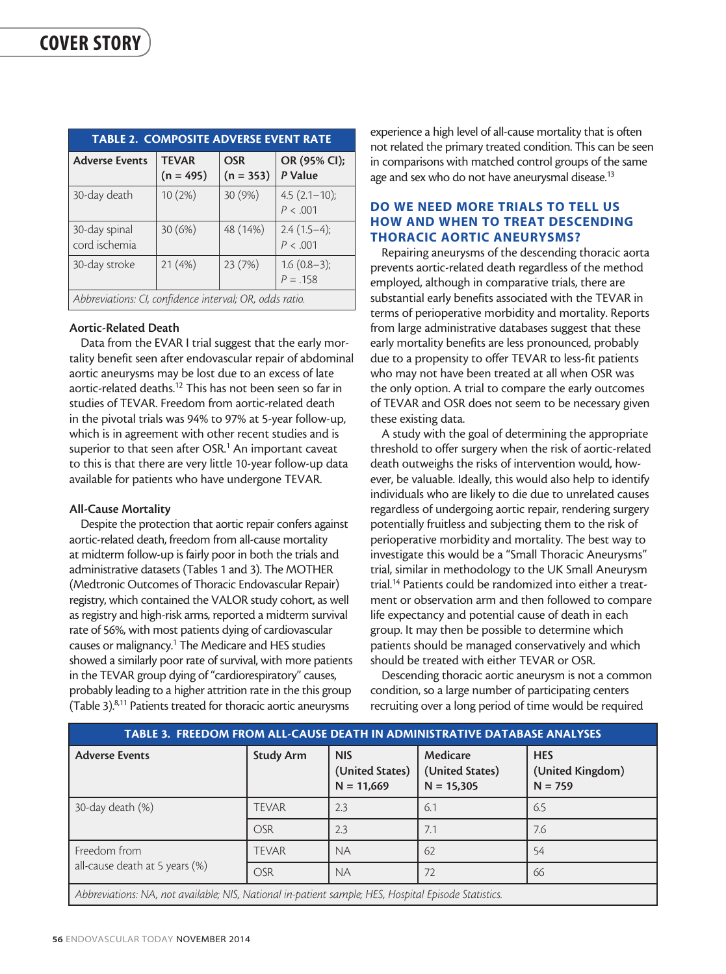| <b>TABLE 2. COMPOSITE ADVERSE EVENT RATE</b>            |                             |                           |                             |  |  |  |  |
|---------------------------------------------------------|-----------------------------|---------------------------|-----------------------------|--|--|--|--|
| <b>Adverse Events</b>                                   | <b>TEVAR</b><br>$(n = 495)$ | <b>OSR</b><br>$(n = 353)$ | OR (95% CI);<br>P Value     |  |  |  |  |
| 30-day death                                            | 10(2%)                      | 30 (9%)                   | $4.5(2.1-10);$<br>P < .001  |  |  |  |  |
| 30-day spinal<br>cord ischemia                          | 30 (6%)                     | 48 (14%)                  | $2.4(1.5-4);$<br>P < .001   |  |  |  |  |
| 30-day stroke                                           | 21(4%)                      | 23 (7%)                   | $1.6(0.8-3);$<br>$P = .158$ |  |  |  |  |
| Abbreviations: CI, confidence interval; OR, odds ratio. |                             |                           |                             |  |  |  |  |

#### Aortic-Related Death

Data from the EVAR I trial suggest that the early mortality benefit seen after endovascular repair of abdominal aortic aneurysms may be lost due to an excess of late aortic-related deaths.12 This has not been seen so far in studies of TEVAR. Freedom from aortic-related death in the pivotal trials was 94% to 97% at 5-year follow-up, which is in agreement with other recent studies and is superior to that seen after OSR.<sup>1</sup> An important caveat to this is that there are very little 10-year follow-up data available for patients who have undergone TEVAR.

## All-Cause Mortality

Despite the protection that aortic repair confers against aortic-related death, freedom from all-cause mortality at midterm follow-up is fairly poor in both the trials and administrative datasets (Tables 1 and 3). The MOTHER (Medtronic Outcomes of Thoracic Endovascular Repair) registry, which contained the VALOR study cohort, as well as registry and high-risk arms, reported a midterm survival rate of 56%, with most patients dying of cardiovascular causes or malignancy.<sup>1</sup> The Medicare and HES studies showed a similarly poor rate of survival, with more patients in the TEVAR group dying of "cardiorespiratory" causes, probably leading to a higher attrition rate in the this group (Table 3).8,11 Patients treated for thoracic aortic aneurysms

experience a high level of all-cause mortality that is often not related the primary treated condition. This can be seen in comparisons with matched control groups of the same age and sex who do not have aneurysmal disease.<sup>13</sup>

# DO WE NEED MORE TRIALS TO TELL US HOW AND WHEN TO TREAT DESCENDING THORACIC AORTIC ANEURYSMS?

Repairing aneurysms of the descending thoracic aorta prevents aortic-related death regardless of the method employed, although in comparative trials, there are substantial early benefits associated with the TEVAR in terms of perioperative morbidity and mortality. Reports from large administrative databases suggest that these early mortality benefits are less pronounced, probably due to a propensity to offer TEVAR to less-fit patients who may not have been treated at all when OSR was the only option. A trial to compare the early outcomes of TEVAR and OSR does not seem to be necessary given these existing data.

A study with the goal of determining the appropriate threshold to offer surgery when the risk of aortic-related death outweighs the risks of intervention would, however, be valuable. Ideally, this would also help to identify individuals who are likely to die due to unrelated causes regardless of undergoing aortic repair, rendering surgery potentially fruitless and subjecting them to the risk of perioperative morbidity and mortality. The best way to investigate this would be a "Small Thoracic Aneurysms" trial, similar in methodology to the UK Small Aneurysm trial.14 Patients could be randomized into either a treatment or observation arm and then followed to compare life expectancy and potential cause of death in each group. It may then be possible to determine which patients should be managed conservatively and which should be treated with either TEVAR or OSR.

Descending thoracic aortic aneurysm is not a common condition, so a large number of participating centers recruiting over a long period of time would be required

| <b>TABLE 3. FREEDOM FROM ALL-CAUSE DEATH IN ADMINISTRATIVE DATABASE ANALYSES</b>                     |                  |                                               |                                             |                                             |  |  |  |  |
|------------------------------------------------------------------------------------------------------|------------------|-----------------------------------------------|---------------------------------------------|---------------------------------------------|--|--|--|--|
| <b>Adverse Events</b>                                                                                | <b>Study Arm</b> | <b>NIS</b><br>(United States)<br>$N = 11,669$ | Medicare<br>(United States)<br>$N = 15,305$ | <b>HES</b><br>(United Kingdom)<br>$N = 759$ |  |  |  |  |
| 30-day death $(\%)$                                                                                  | <b>TEVAR</b>     | 2.3                                           | 6.1                                         | 6.5                                         |  |  |  |  |
|                                                                                                      | <b>OSR</b>       | 2.3                                           | 7.1                                         | 7.6                                         |  |  |  |  |
| Freedom from                                                                                         | <b>TEVAR</b>     | <b>NA</b>                                     | 62                                          | 54                                          |  |  |  |  |
| all-cause death at 5 years (%)                                                                       | <b>OSR</b>       | <b>NA</b>                                     | 72                                          | 66                                          |  |  |  |  |
| Abbreviations: NA, not available; NIS, National in-patient sample; HES, Hospital Episode Statistics. |                  |                                               |                                             |                                             |  |  |  |  |